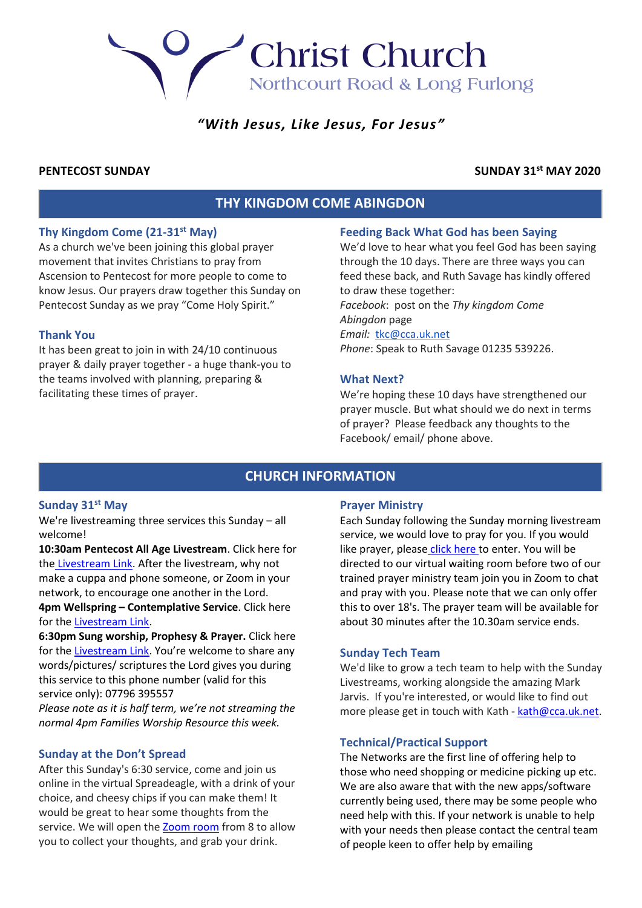# *"With Jesus, Like Jesus, For Jesus"*

Christ Church

Northcourt Road & Long Furlong

# **PENTECOST SUNDAY SUNDAY 31st MAY 2020**

# **THY KINGDOM COME ABINGDON**

# **Thy Kingdom Come (21-31st May)**

As a church we've been joining this global prayer movement that invites Christians to pray from Ascension to Pentecost for more people to come to know Jesus. Our prayers draw together this Sunday on Pentecost Sunday as we pray "Come Holy Spirit."

# **Thank You**

It has been great to join in with 24/10 continuous prayer & daily prayer together - a huge thank-you to the teams involved with planning, preparing & facilitating these times of prayer.

# **Feeding Back What God has been Saying**

We'd love to hear what you feel God has been saying through the 10 days. There are three ways you can feed these back, and Ruth Savage has kindly offered to draw these together: *Facebook*: post on the *Thy kingdom Come Abingdon* page *Email:* [tkc@cca.uk.net](mailto:tkc@cca.uk.net)

*Phone*: Speak to Ruth Savage 01235 539226.

# **What Next?**

We're hoping these 10 days have strengthened our prayer muscle. But what should we do next in terms of prayer? Please feedback any thoughts to the Facebook/ email/ phone above.

# **CHURCH INFORMATION**

# **Sunday 31st May**

We're livestreaming three services this Sunday – all welcome!

**10:30am Pentecost All Age Livestream**. Click here for the [Livestream Link.](https://youtu.be/buPnLGzgLOE) After the livestream, why not make a cuppa and phone someone, or Zoom in your network, to encourage one another in the Lord. **4pm Wellspring – Contemplative Service**. Click here for the [Livestream Link.](https://youtu.be/A3Tu84vzReE)

**6:30pm Sung worship, Prophesy & Prayer.** Click here for the [Livestream Link.](https://youtu.be/f5dqAkx53hM) You're welcome to share any words/pictures/ scriptures the Lord gives you during this service to this phone number (valid for this service only): 07796 395557

*Please note as it is half term, we're not streaming the normal 4pm Families Worship Resource this week.*

# **Sunday at the Don't Spread**

After this Sunday's 6:30 service, come and join us online in the virtual Spreadeagle, with a drink of your choice, and cheesy chips if you can make them! It would be great to hear some thoughts from the service. We will open the [Zoom room](https://us02web.zoom.us/j/2822500871?pwd=N1V0cjdmSkpRMko3TVJ5Q2YrRk92dz09) from 8 to allow you to collect your thoughts, and grab your drink.

### **Prayer Ministry**

Each Sunday following the Sunday morning livestream service, we would love to pray for you. If you would lik[e](https://zoom.us/j/94957771641?pwd=a3luQnN2WmZIRWpzaTNVdEE4WWVxZz09) prayer, please [click here](https://zoom.us/j/94957771641?pwd=a3luQnN2WmZIRWpzaTNVdEE4WWVxZz09) to enter. You will be directed to our virtual waiting room before two of our trained prayer ministry team join you in Zoom to chat and pray with you. Please note that we can only offer this to over 18's. The prayer team will be available for about 30 minutes after the 10.30am service ends.

# **Sunday Tech Team**

We'd like to grow a tech team to help with the Sunday Livestreams, working alongside the amazing Mark Jarvis. If you're interested, or would like to find out more please get in touch with Kath - [kath@cca.uk.net.](mailto:kath@cca.uk.net)

# **Technical/Practical Support**

The Networks are the first line of offering help to those who need shopping or medicine picking up etc. We are also aware that with the new apps/software currently being used, there may be some people who need help with this. If your network is unable to help with your needs then please contact the central team of people keen to offer help by emailing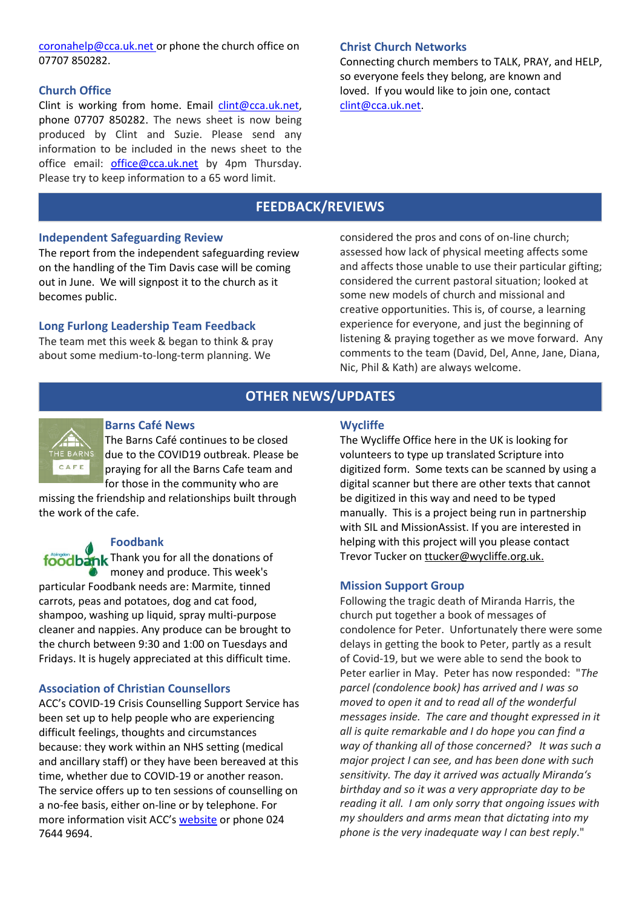[coronahelp@cca.uk.net](mailto:coronahelp@cca.uk.net) or phone the church office on 07707 850282.

# **Church Office**

Clint is working from home. Email  $clint@cca.uk.net$ . phone 07707 850282. The news sheet is now being produced by Clint and Suzie. Please send any information to be included in the news sheet to the office email: [office@cca.uk.net](mailto:office@cca.uk.net) by 4pm Thursday. Please try to keep information to a 65 word limit.

# **Christ Church Networks**

Connecting church members to TALK, PRAY, and HELP, so everyone feels they belong, are known and loved. If you would like to join one, contact [clint@cca.uk.net.](mailto:clint@cca.uk.net)

# **FEEDBACK/REVIEWS**

# **Independent Safeguarding Review**

The report from the independent safeguarding review on the handling of the Tim Davis case will be coming out in June. We will signpost it to the church as it becomes public.

# **Long Furlong Leadership Team Feedback**

The team met this week & began to think & pray about some medium-to-long-term planning. We

considered the pros and cons of on-line church; assessed how lack of physical meeting affects some and affects those unable to use their particular gifting; considered the current pastoral situation; looked at some new models of church and missional and creative opportunities. This is, of course, a learning experience for everyone, and just the beginning of listening & praying together as we move forward. Any comments to the team (David, Del, Anne, Jane, Diana, Nic, Phil & Kath) are always welcome.

# **OTHER NEWS/UPDATES**



### **Barns Café News**

The Barns Café continues to be closed due to the COVID19 outbreak. Please be praying for all the Barns Cafe team and for those in the community who are

missing the friendship and relationships built through the work of the cafe.

# **Foodbank**

foodbank Thank you for all the donations of money and produce. This week's particular Foodbank needs are: Marmite, tinned carrots, peas and potatoes, dog and cat food, shampoo, washing up liquid, spray multi-purpose cleaner and nappies. Any produce can be brought to the church between 9:30 and 1:00 on Tuesdays and Fridays. It is hugely appreciated at this difficult time.

# **Association of Christian Counsellors**

ACC's COVID-19 Crisis Counselling Support Service has been set up to help people who are experiencing difficult feelings, thoughts and circumstances because: they work within an NHS setting (medical and ancillary staff) or they have been bereaved at this time, whether due to COVID-19 or another reason. The service offers up to ten sessions of counselling on a no-fee basis, either on-line or by telephone. For more information visit ACC's [website](http://www.acc-uk.org/) or phone 024 7644 9694.

### **Wycliffe**

The Wycliffe Office here in the UK is looking for volunteers to type up translated Scripture into digitized form. Some texts can be scanned by using a digital scanner but there are other texts that cannot be digitized in this way and need to be typed manually. This is a project being run in partnership with SIL and MissionAssist. If you are interested in helping with this project will you please contact Trevor Tucker on [ttucker@wycliffe.org.uk.](mailto:ttucker@wycliffe.org.uk)

# **Mission Support Group**

Following the tragic death of Miranda Harris, the church put together a book of messages of condolence for Peter. Unfortunately there were some delays in getting the book to Peter, partly as a result of Covid-19, but we were able to send the book to Peter earlier in May. Peter has now responded: "*The parcel (condolence book) has arrived and I was so moved to open it and to read all of the wonderful messages inside. The care and thought expressed in it all is quite remarkable and I do hope you can find a way of thanking all of those concerned? It was such a major project I can see, and has been done with such sensitivity. The day it arrived was actually Miranda's birthday and so it was a very appropriate day to be reading it all. I am only sorry that ongoing issues with my shoulders and arms mean that dictating into my phone is the very inadequate way I can best reply*."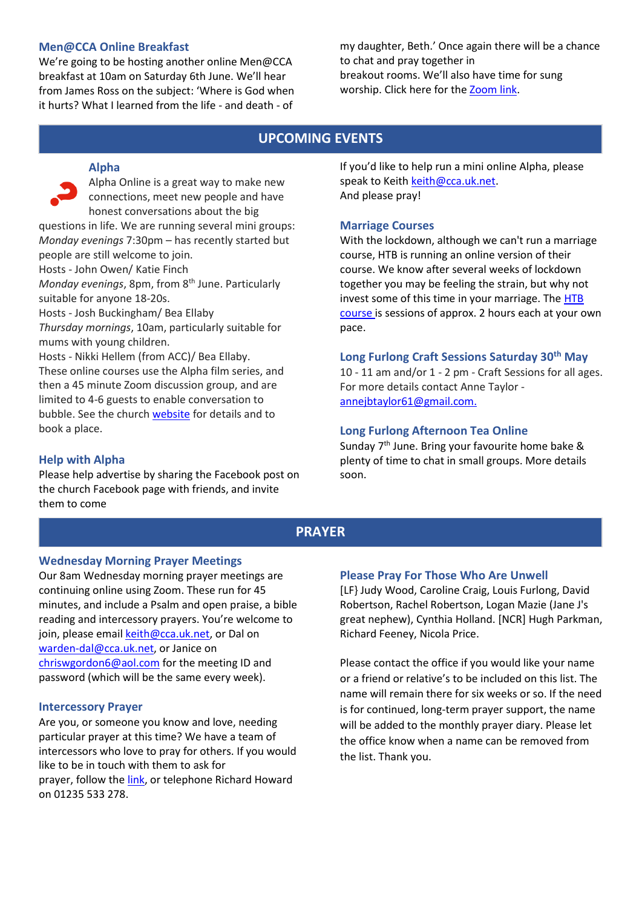# **Men@CCA Online Breakfast**

We're going to be hosting another online Men@CCA breakfast at 10am on Saturday 6th June. We'll hear from James Ross on the subject: 'Where is God when it hurts? What I learned from the life - and death - of

my daughter, Beth.' Once again there will be a chance to chat and pray together in breakout rooms. We'll also have time for sung worship. Click here for th[e Zoom link.](https://us02web.zoom.us/j/87199718969?pwd=UjFzQTNFMVhtR0ZyUFZ2bHBZR1FNdz09)

# **UPCOMING EVENTS**

# **Alpha**

Alpha Online is a great way to make new connections, meet new people and have honest conversations about the big questions in life. We are running several mini groups: *Monday evenings* 7:30pm – has recently started but people are still welcome to join. Hosts - John Owen/ Katie Finch *Monday evenings*, 8pm, from 8<sup>th</sup> June. Particularly suitable for anyone 18-20s. Hosts - Josh Buckingham/ Bea Ellaby

*Thursday mornings*, 10am, particularly suitable for mums with young children.

Hosts - Nikki Hellem (from ACC)/ Bea Ellaby. These online courses use the Alpha film series, and then a 45 minute Zoom discussion group, and are limited to 4-6 guests to enable conversation to bubble. See the church [website](http://www.cca.uk.net/explore-faith/) for details and to book a place.

# **Help with Alpha**

Please help advertise by sharing the Facebook post on the church Facebook page with friends, and invite them to come

If you'd like to help run a mini online Alpha, please speak to Keith [keith@cca.uk.net.](mailto:keith@cca.uk.net) And please pray!

# **Marriage Courses**

With the lockdown, although we can't run a marriage course, HTB is running an online version of their course. We know after several weeks of lockdown together you may be feeling the strain, but why not invest some of this time in your marriage. The [HTB](https://www.htb.org/marriage)  [course](https://www.htb.org/marriage) is sessions of approx. 2 hours each at your own pace.

# **Long Furlong Craft Sessions Saturday 30th May**

10 - 11 am and/or 1 - 2 pm - Craft Sessions for all ages. For more details contact Anne Taylor [annejbtaylor61@gmail.com.](mailto:annejbtaylor61@gmail.com)

# **Long Furlong Afternoon Tea Online**

Sunday  $7<sup>th</sup>$  June. Bring your favourite home bake & plenty of time to chat in small groups. More details soon.

# **PRAYER**

# **Wednesday Morning Prayer Meetings**

Our 8am Wednesday morning prayer meetings are continuing online using Zoom. These run for 45 minutes, and include a Psalm and open praise, a bible reading and intercessory prayers. You're welcome to join, please emai[l keith@cca.uk.net,](mailto:keith@cca.uk.net) or Dal on [warden-dal@cca.uk.net,](mailto:warden-dal@cca.uk.net) or Janice on [chriswgordon6@aol.com](mailto:chriswgordon6@aol.com) for the meeting ID and password (which will be the same every week).

### **Intercessory Prayer**

Are you, or someone you know and love, needing particular prayer at this time? We have a team of intercessors who love to pray for others. If you would like to be in touch with them to ask for prayer, follow the [link,](https://docs.google.com/forms/d/e/1FAIpQLSfT-6Me8FrVVQa50ZUXThiDnzQ3aNU-nR12dM2JZQrD78vnLA/viewform) or telephone Richard Howard on 01235 533 278.

# **Please Pray For Those Who Are Unwell**

[LF} Judy Wood, Caroline Craig, Louis Furlong, David Robertson, Rachel Robertson, Logan Mazie (Jane J's great nephew), Cynthia Holland. [NCR] Hugh Parkman, Richard Feeney, Nicola Price.

Please contact the office if you would like your name or a friend or relative's to be included on this list. The name will remain there for six weeks or so. If the need is for continued, long-term prayer support, the name will be added to the monthly prayer diary. Please let the office know when a name can be removed from the list. Thank you.